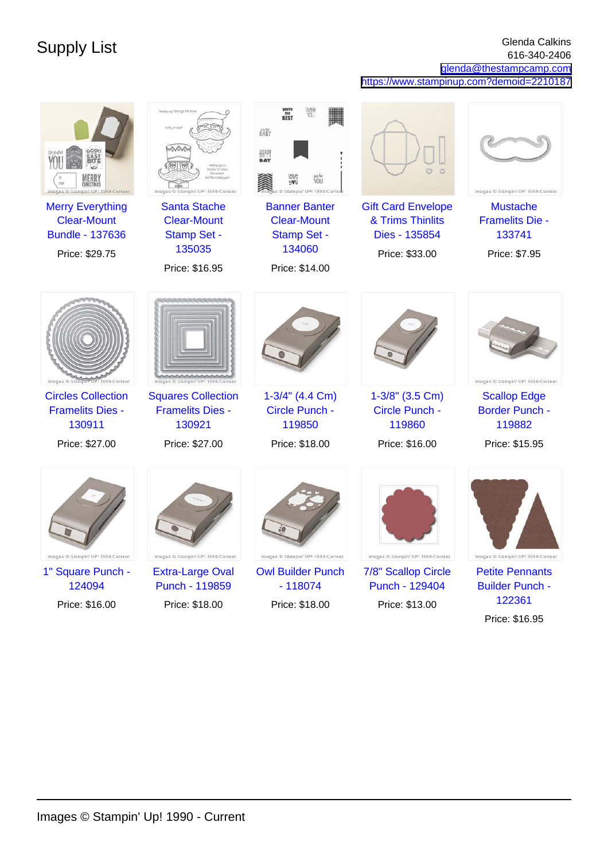Supply List Glenda Calkins (1999) Supply List Glenda Calkins (1999) Supply List Glenda Calkins (1999) Supply List  $\frac{616,340,3406}{616,340,3406}$ 616-340-2406 [glenda@thestampcamp.com](mailto:glenda@thestampcamp.com)

<https://www.stampinup.com?demoid=2210187>

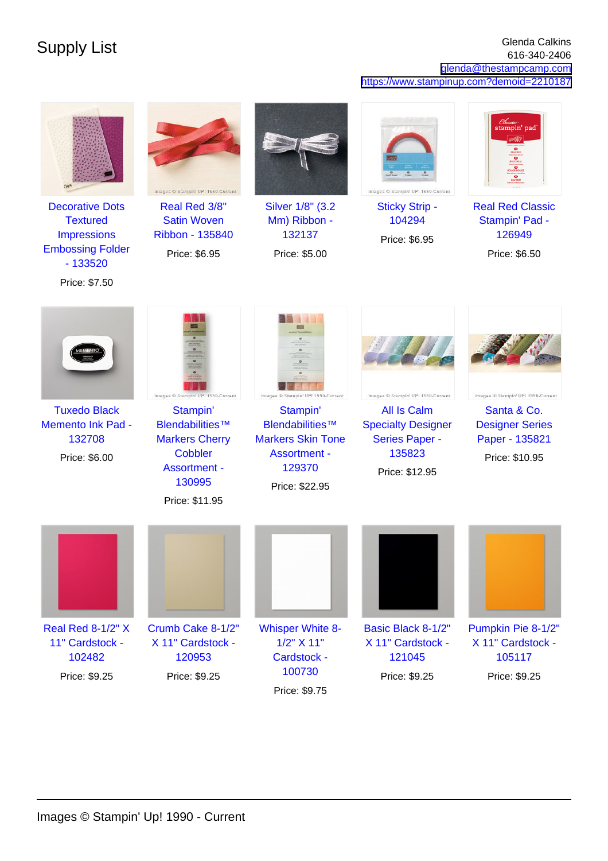## Supply List Glenda Calkins (1999) Supply List Glenda Calkins (1999) Supply List Glenda Calkins (1999) Supply List Glenda Calkins (1999) Supply List  $\frac{616.340 \cdot 2406}{616.340 \cdot 2406}$ 616-340-2406 [glenda@thestampcamp.com](mailto:glenda@thestampcamp.com) <https://www.stampinup.com?demoid=2210187>



[Decorative Dots](https://www.stampinup.com/products/?dbwsdemoid=2210187) **[Textured](https://www.stampinup.com/products/?dbwsdemoid=2210187) [Impressions](https://www.stampinup.com/products/?dbwsdemoid=2210187)** [Embossing Folder](https://www.stampinup.com/products/?dbwsdemoid=2210187) [- 133520](https://www.stampinup.com/products/?dbwsdemoid=2210187) Price: \$7.50



[Real Red 3/8"](https://www.stampinup.com/products/?dbwsdemoid=2210187) [Satin Woven](https://www.stampinup.com/products/?dbwsdemoid=2210187) [Ribbon - 135840](https://www.stampinup.com/products/?dbwsdemoid=2210187)

Price: \$6.95



[Silver 1/8" \(3.2](https://www.stampinup.com/products/?dbwsdemoid=2210187) [Mm\) Ribbon -](https://www.stampinup.com/products/?dbwsdemoid=2210187) [132137](https://www.stampinup.com/products/?dbwsdemoid=2210187)

Price: \$5.00



[Sticky Strip -](https://www.stampinup.com/products/?dbwsdemoid=2210187) [104294](https://www.stampinup.com/products/?dbwsdemoid=2210187)

Price: \$6.95



[Real Red Classic](https://www.stampinup.com/products/?dbwsdemoid=2210187) [Stampin' Pad -](https://www.stampinup.com/products/?dbwsdemoid=2210187) [126949](https://www.stampinup.com/products/?dbwsdemoid=2210187)

Price: \$6.50



[Tuxedo Black](https://www.stampinup.com/products/memento-ink-pad-tuxedo-black?dbwsdemoid=2210187) [Memento Ink Pad -](https://www.stampinup.com/products/memento-ink-pad-tuxedo-black?dbwsdemoid=2210187) [132708](https://www.stampinup.com/products/memento-ink-pad-tuxedo-black?dbwsdemoid=2210187) Price: \$6.00



[Stampin'](https://www.stampinup.com/products/?dbwsdemoid=2210187) [Blendabilities™](https://www.stampinup.com/products/?dbwsdemoid=2210187) [Markers Cherry](https://www.stampinup.com/products/?dbwsdemoid=2210187) **[Cobbler](https://www.stampinup.com/products/?dbwsdemoid=2210187)** [Assortment -](https://www.stampinup.com/products/?dbwsdemoid=2210187) [130995](https://www.stampinup.com/products/?dbwsdemoid=2210187)

Price: \$11.95



[Stampin'](https://www.stampinup.com/products/?dbwsdemoid=2210187) [Blendabilities™](https://www.stampinup.com/products/?dbwsdemoid=2210187) [Markers Skin Tone](https://www.stampinup.com/products/?dbwsdemoid=2210187) [Assortment -](https://www.stampinup.com/products/?dbwsdemoid=2210187) [129370](https://www.stampinup.com/products/?dbwsdemoid=2210187) Price: \$22.95



Images ® Stampin' UP! 1990-Current [All Is Calm](https://www.stampinup.com/products/?dbwsdemoid=2210187) [Specialty Designer](https://www.stampinup.com/products/?dbwsdemoid=2210187) [Series Paper -](https://www.stampinup.com/products/?dbwsdemoid=2210187) [135823](https://www.stampinup.com/products/?dbwsdemoid=2210187) Price: \$12.95



Images ® Stampin' UP! 1990-Current [Santa & Co.](https://www.stampinup.com/products/?dbwsdemoid=2210187) [Designer Series](https://www.stampinup.com/products/?dbwsdemoid=2210187) [Paper - 135821](https://www.stampinup.com/products/?dbwsdemoid=2210187)

Price: \$10.95